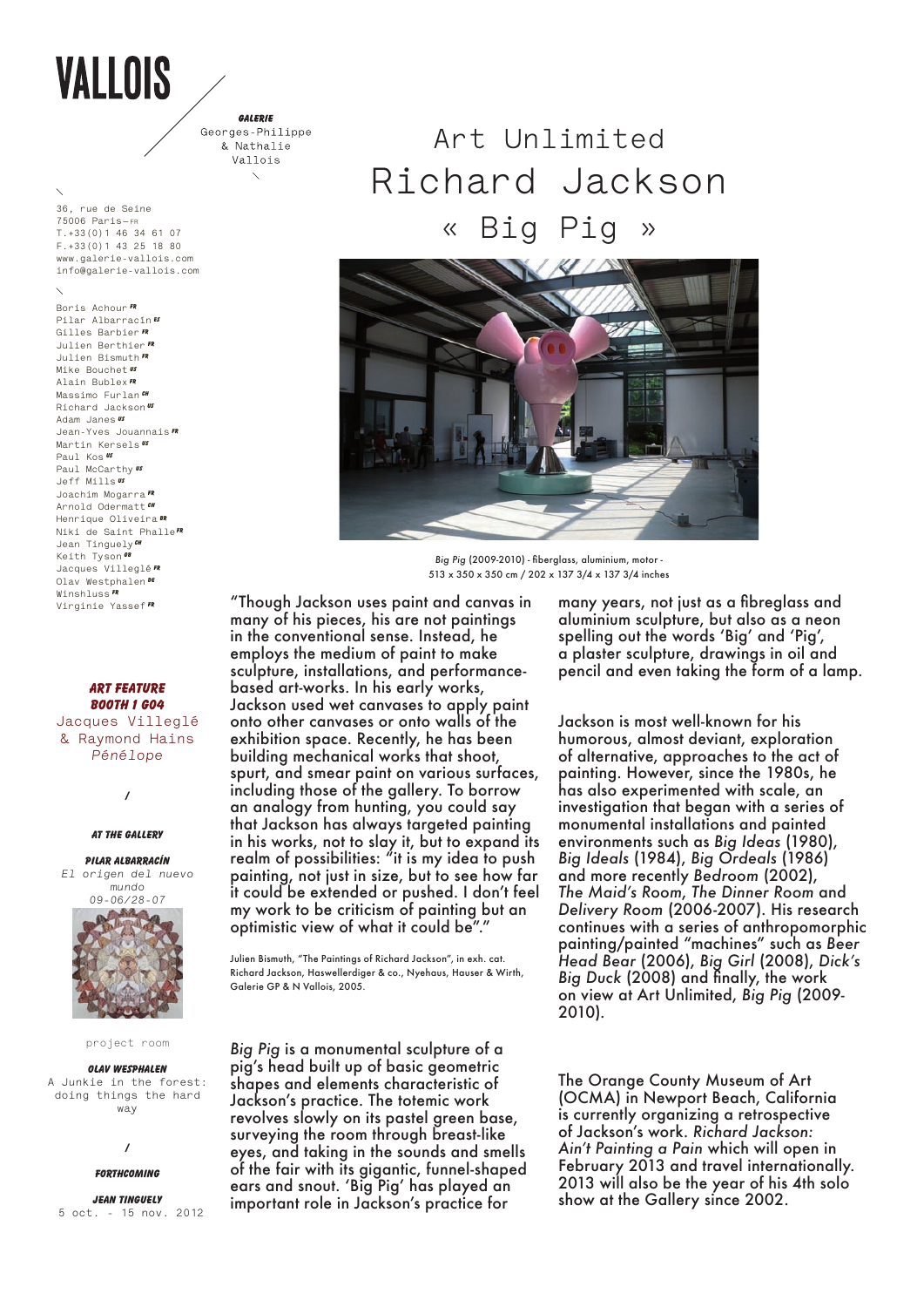# VALLOIS

GALERIE Georges-Philippe & Nathalie Vallois  $\overline{\phantom{0}}$ 

**36, rue de Seine 75006 Paris—fr T.+33(0)1 46 34 61 07 f.+33(0)1 43 25 18 80 www.galerie-vallois.com info@galerie-vallois.com**

**Boris Achour Fr Pilar Albarracín es Gilles Barbier FR Julien Berthier FR Julien Bismuth FR Mike Bouchet US Alain Bublex FR Massimo Furlan CH Richard Jackson US Adam Janes US Jean-Yves Jouannais fr Martin Kersels US Paul Kos US Paul McCarthy Us Jeff Mills US Joachim Mogarra FR Arnold Odermatt CH Henrique Oliveira BR Niki de Saint PhalleFR** Jean Tinguely<sup>*CH*</sup> **Keith Tyson**  $\overline{G}$ **Jacques Villeglé FR Olav Westphalen De Winshluss FR Virginie Yassef FR**

**Art Feature BOOTH 1 G04 Jacques Villeglé & Raymond Hains**

*Pénélope*

**/**

## **AT THE GALLERY**

**pilar ALBARRACÍN** *El origen del nuevo mundo 09-06/28-07*



## project room

**Olav Wesphalen A Junkie in the forest: doing things the hard way**

## **/**

## **FORTHCOMING**

**Jean tinguely 5 oct. - 15 nov. 2012** 

## **Art Unlimited Richard Jackson**

**« Big Pig »**



*Big Pig* (2009-2010) - fiberglass, aluminium, motor - 513 x 350 x 350 cm / 202 x 137 3/4 x 137 3/4 inches

"Though Jackson uses paint and canvas in many of his pieces, his are not paintings in the conventional sense. Instead, he employs the medium of paint to make sculpture, installations, and performancebased art-works. In his early works, Jackson used wet canvases to apply paint onto other canvases or onto walls of the exhibition space. Recently, he has been building mechanical works that shoot, spurt, and smear paint on various surfaces, including those of the gallery. To borrow an analogy from hunting, you could say that Jackson has always targeted painting in his works, not to slay it, but to expand its realm of possibilities: "it is my idea to push painting, not just in size, but to see how far it could be extended or pushed. I don't feel my work to be criticism of painting but an optimistic view of what it could be".

Julien Bismuth, "The Paintings of Richard Jackson", in exh. cat. Richard Jackson, Haswellerdiger & co., Nyehaus, Hauser & Wirth, Galerie GP & N Vallois, 2005.

*Big Pig* is a monumental sculpture of a pig's head built up of basic geometric shapes and elements characteristic of Jackson's practice. The totemic work revolves slowly on its pastel green base, surveying the room through breast-like eyes, and taking in the sounds and smells of the fair with its gigantic, funnel-shaped ears and snout. 'Big Pig' has played an important role in Jackson's practice for

many years, not just as a fibreglass and aluminium sculpture, but also as a neon spelling out the words 'Big' and 'Pig', a plaster sculpture, drawings in oil and pencil and even taking the form of a lamp.

Jackson is most well-known for his humorous, almost deviant, exploration of alternative, approaches to the act of painting. However, since the 1980s, he has also experimented with scale, an investigation that began with a series of monumental installations and painted environments such as *Big Ideas* (1980), *Big Ideals* (1984), *Big Ordeals* (1986) and more recently *Bedroom* (2002), *The Maid's Room*, *The Dinner Room* and *Delivery Room* (2006-2007). His research continues with a series of anthropomorphic painting/painted "machines" such as *Beer Head Bear* (2006), *Big Girl* (2008), *Dick's Big Duck* (2008) and finally, the work on view at Art Unlimited, *Big Pig* (2009- 2010).

The Orange County Museum of Art (OCMA) in Newport Beach, California is currently organizing a retrospective of Jackson's work. *Richard Jackson: Ain't Painting a Pain* which will open in February 2013 and travel internationally. 2013 will also be the year of his 4th solo show at the Gallery since 2002.